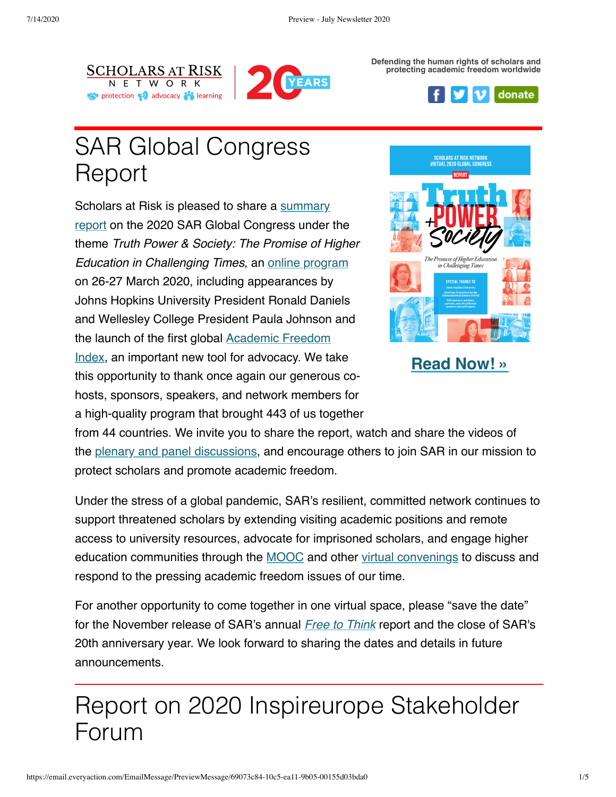



**Defending the human rights of scholars and protecting academic freedom worldwide**



# SAR Global Congress Report

[Scholars at Risk is pleased to share a summary](https://www.scholarsatrisk.org/resources/report-of-the-2020-sar-global-congress/?emci=6a073c84-10c5-ea11-9b05-00155d03bda0&emdi=ea000000-0000-0000-0000-000000000001&ceid={{ContactsEmailID}}) report on the 2020 SAR Global Congress under the theme *Truth Power & Society: The Promise of Higher Education in Challenging Times*, an [online program](https://www.scholarsatrisk.org/event/2020globalcongress/?emci=c7e3043b-d778-ea11-a94c-00155d03b1e8&emdi=a2f80224-1b79-ea11-a94c-00155d03b1e8&ceid=1658169) on 26-27 March 2020, including appearances by Johns Hopkins University President Ronald Daniels and Wellesley College President Paula Johnson and the launch of the first global Academic Freedom [Index, an important new tool for advocacy. We ta](https://www.scholarsatrisk.org/resources/launch-of-academic-freedom-index-plenary/?emci=c7e3043b-d778-ea11-a94c-00155d03b1e8&emdi=a2f80224-1b79-ea11-a94c-00155d03b1e8&ceid=1658169)ke this opportunity to thank once again our generous cohosts, sponsors, speakers, and network members for a high-quality program that brought 443 of us together



**Read [Now!](https://www.scholarsatrisk.org/resources/report-of-the-2020-sar-global-congress/?emci=6a073c84-10c5-ea11-9b05-00155d03bda0&emdi=ea000000-0000-0000-0000-000000000001&ceid={{ContactsEmailID}}) »**

from 44 countries. We invite you to share the report, watch and share the videos of the [plenary and panel discussions](https://www.scholarsatrisk.org/bytype/2020-sar-global-congress-videos/?emci=c7e3043b-d778-ea11-a94c-00155d03b1e8&emdi=ea000000-0000-0000-0000-000000000001&ceid=), and encourage others to join SAR in our mission to protect scholars and promote academic freedom.

Under the stress of a global pandemic, SAR's resilient, committed network continues to support threatened scholars by extending visiting academic positions and remote access to university resources, advocate for imprisoned scholars, and engage higher education communities through the [MOOC](https://www.scholarsatrisk.org/event/online-course-dangerous-questions-why-academic-freedom-matters/?emci=6a073c84-10c5-ea11-9b05-00155d03bda0&emdi=ea000000-0000-0000-0000-000000000001&ceid={{ContactsEmailID}}) and other [virtual convenings](https://www.scholarsatrisk.org/resources/virtual-resources/?emci=6a073c84-10c5-ea11-9b05-00155d03bda0&emdi=ea000000-0000-0000-0000-000000000001&ceid={{ContactsEmailID}}) to discuss and respond to the pressing academic freedom issues of our time.

For another opportunity to come together in one virtual space, please "save the date" for the November release of SAR's annual *[Free to Think](https://www.scholarsatrisk.org/resources/free-to-think-2019/?emci=dabf4d39-c55f-ea11-a94c-00155d03b5dd&emdi=0509f9dd-ac64-ea11-a94c-00155d03b5dd&ceid=1647400)* report and the close of SAR's 20th anniversary year. We look forward to sharing the dates and details in future announcements.

## Report on 2020 Inspireurope Stakeholder Forum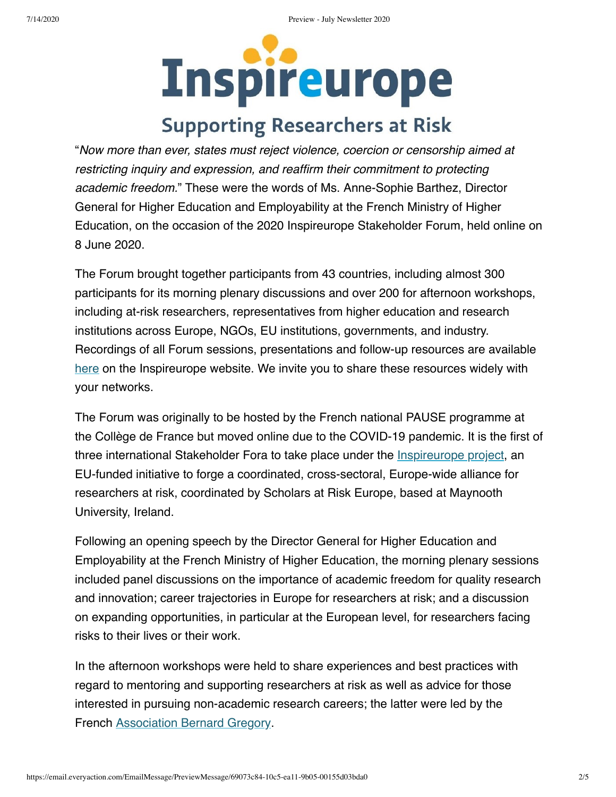# **Inspireurope**

## **Supporting Researchers at Risk**

"*Now more than ever, states must reject violence, coercion or censorship aimed at restricting inquiry and expression, and reaffirm their commitment to protecting academic freedom.*" These were the words of Ms. Anne-Sophie Barthez, Director General for Higher Education and Employability at the French Ministry of Higher Education, on the occasion of the 2020 Inspireurope Stakeholder Forum, held online on 8 June 2020.

The Forum brought together participants from 43 countries, including almost 300 participants for its morning plenary discussions and over 200 for afternoon workshops, including at-risk researchers, representatives from higher education and research institutions across Europe, NGOs, EU institutions, governments, and industry. Recordings of all Forum sessions, presentations and follow-up resources are available [here](https://www.maynoothuniversity.ie/sar-europe/events/inspireurope-2020-virtual-stakeholder-forum?emci=6a073c84-10c5-ea11-9b05-00155d03bda0&emdi=ea000000-0000-0000-0000-000000000001&ceid={{ContactsEmailID}}) on the Inspireurope website. We invite you to share these resources widely with your networks.

The Forum was originally to be hosted by the French national PAUSE programme at the Collège de France but moved online due to the COVID-19 pandemic. It is the first of three international Stakeholder Fora to take place under the [Inspireurope project](https://www.maynoothuniversity.ie/sar-europe/inspireurope?emci=6a073c84-10c5-ea11-9b05-00155d03bda0&emdi=ea000000-0000-0000-0000-000000000001&ceid={{ContactsEmailID}}), an EU-funded initiative to forge a coordinated, cross-sectoral, Europe-wide alliance for researchers at risk, coordinated by Scholars at Risk Europe, based at Maynooth University, Ireland.

Following an opening speech by the Director General for Higher Education and Employability at the French Ministry of Higher Education, the morning plenary sessions included panel discussions on the importance of academic freedom for quality research and innovation; career trajectories in Europe for researchers at risk; and a discussion on expanding opportunities, in particular at the European level, for researchers facing risks to their lives or their work.

In the afternoon workshops were held to share experiences and best practices with regard to mentoring and supporting researchers at risk as well as advice for those interested in pursuing non-academic research careers; the latter were led by the French [Association Bernard Gregory.](https://www.abg.asso.fr/fr/?emci=6a073c84-10c5-ea11-9b05-00155d03bda0&emdi=ea000000-0000-0000-0000-000000000001&ceid={{ContactsEmailID}})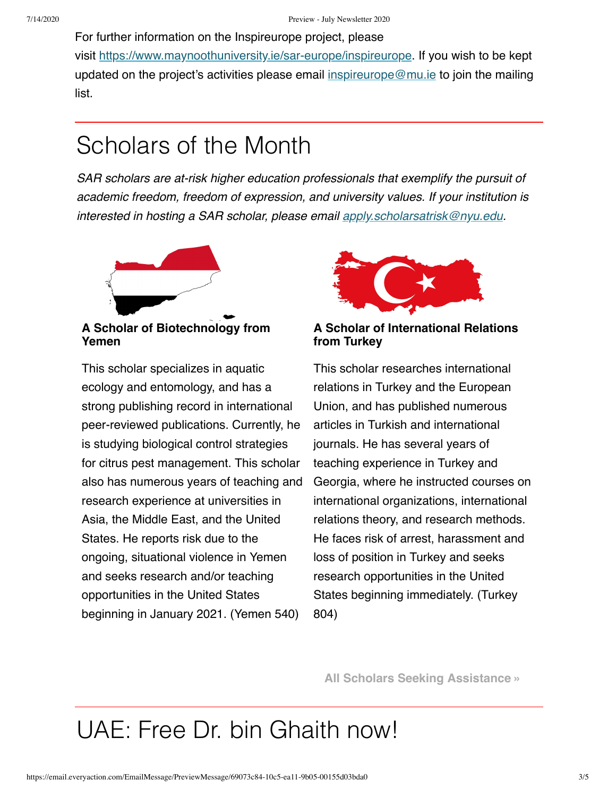For further information on the Inspireurope project, please visit [https://www.maynoothuniversity.ie/sar-europe/inspireurope](https://www.maynoothuniversity.ie/sar-europe/inspireurope?emci=6a073c84-10c5-ea11-9b05-00155d03bda0&emdi=ea000000-0000-0000-0000-000000000001&ceid={{ContactsEmailID}}). If you wish to be kept updated on the project's activities please email [inspireurope@mu.ie](mailto:inspireurope@mu.ie) to join the mailing list.

# Scholars of the Month

*SAR scholars are at-risk higher education professionals that exemplify the pursuit of academic freedom, freedom of expression, and university values. If your institution is interested in hosting a SAR scholar, please email [apply.scholarsatrisk@nyu.edu.](mailto:apply.scholarsatrisk@nyu.edu)*



**A Scholar of Biotechnology from Yemen**

This scholar specializes in aquatic ecology and entomology, and has a strong publishing record in international peer-reviewed publications. Currently, he is studying biological control strategies for citrus pest management. This scholar also has numerous years of teaching and research experience at universities in Asia, the Middle East, and the United States. He reports risk due to the ongoing, situational violence in Yemen and seeks research and/or teaching opportunities in the United States beginning in January 2021. (Yemen 540)



**A Scholar of International Relations from Turkey**

This scholar researches international relations in Turkey and the European Union, and has published numerous articles in Turkish and international journals. He has several years of teaching experience in Turkey and Georgia, where he instructed courses on international organizations, international relations theory, and research methods. He faces risk of arrest, harassment and loss of position in Turkey and seeks research opportunities in the United States beginning immediately. (Turkey 804)

**[All Scholars Seeking Assistance »](https://www.scholarsatrisk.org/actions/host-a-scholar/?emci=6a073c84-10c5-ea11-9b05-00155d03bda0&emdi=ea000000-0000-0000-0000-000000000001&ceid={{ContactsEmailID}})**

# UAE: Free Dr. bin Ghaith now!